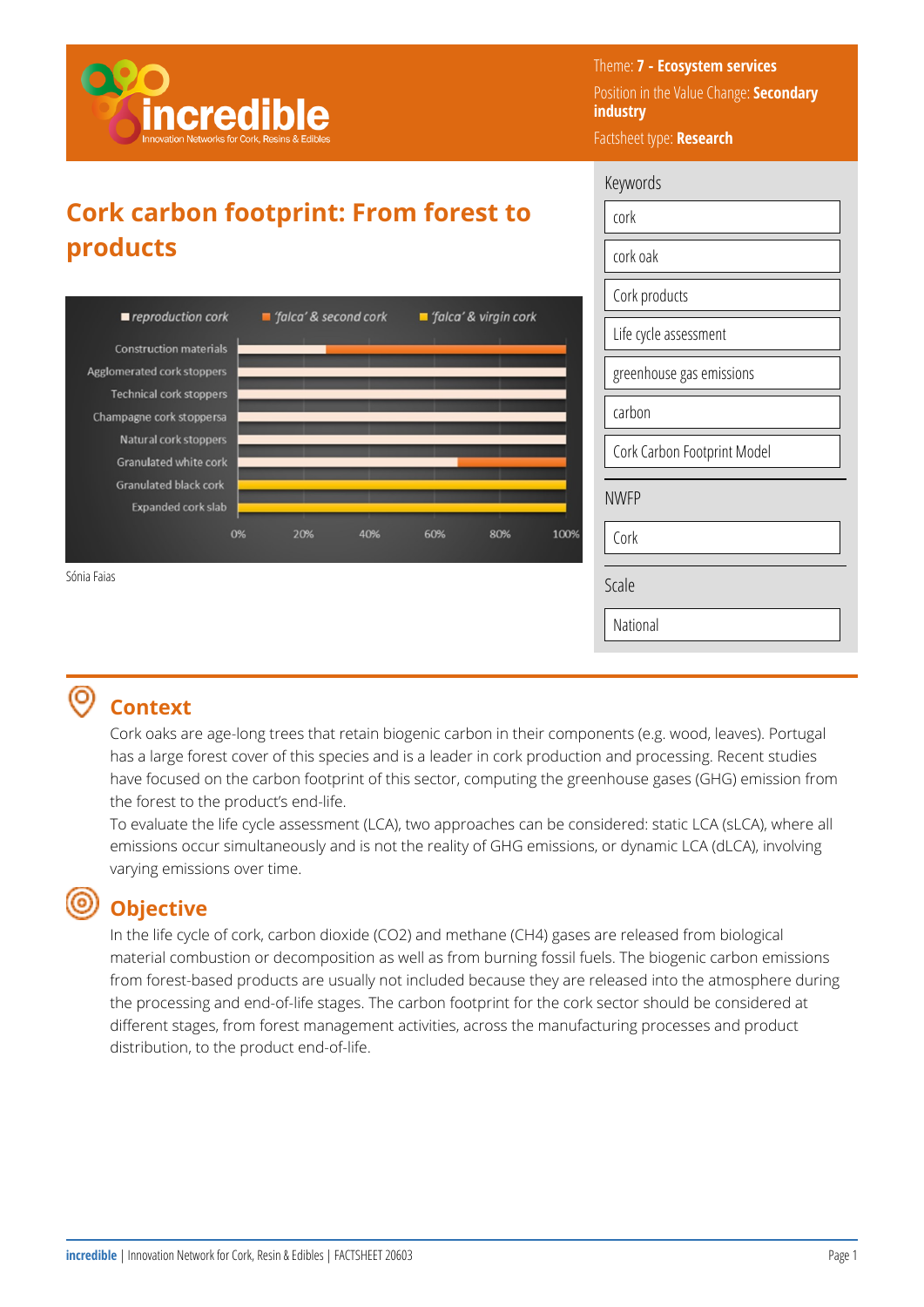

Theme: **7 - Ecosystem services**  Position in the Value Change: **Secondary industry**  Factsheet type: **Research** 

Keywords

cork

## **Cork carbon footprint: From forest to products**



## **Context**

Cork oaks are age-long trees that retain biogenic carbon in their components (e.g. wood, leaves). Portugal has a large forest cover of this species and is a leader in cork production and processing. Recent studies have focused on the carbon footprint of this sector, computing the greenhouse gases (GHG) emission from the forest to the product's end-life.

To evaluate the life cycle assessment (LCA), two approaches can be considered: static LCA (sLCA), where all emissions occur simultaneously and is not the reality of GHG emissions, or dynamic LCA (dLCA), involving varying emissions over time.

#### **Objective**

In the life cycle of cork, carbon dioxide (CO2) and methane (CH4) gases are released from biological material combustion or decomposition as well as from burning fossil fuels. The biogenic carbon emissions from forest-based products are usually not included because they are released into the atmosphere during the processing and end-of-life stages. The carbon footprint for the cork sector should be considered at different stages, from forest management activities, across the manufacturing processes and product distribution, to the product end-of-life.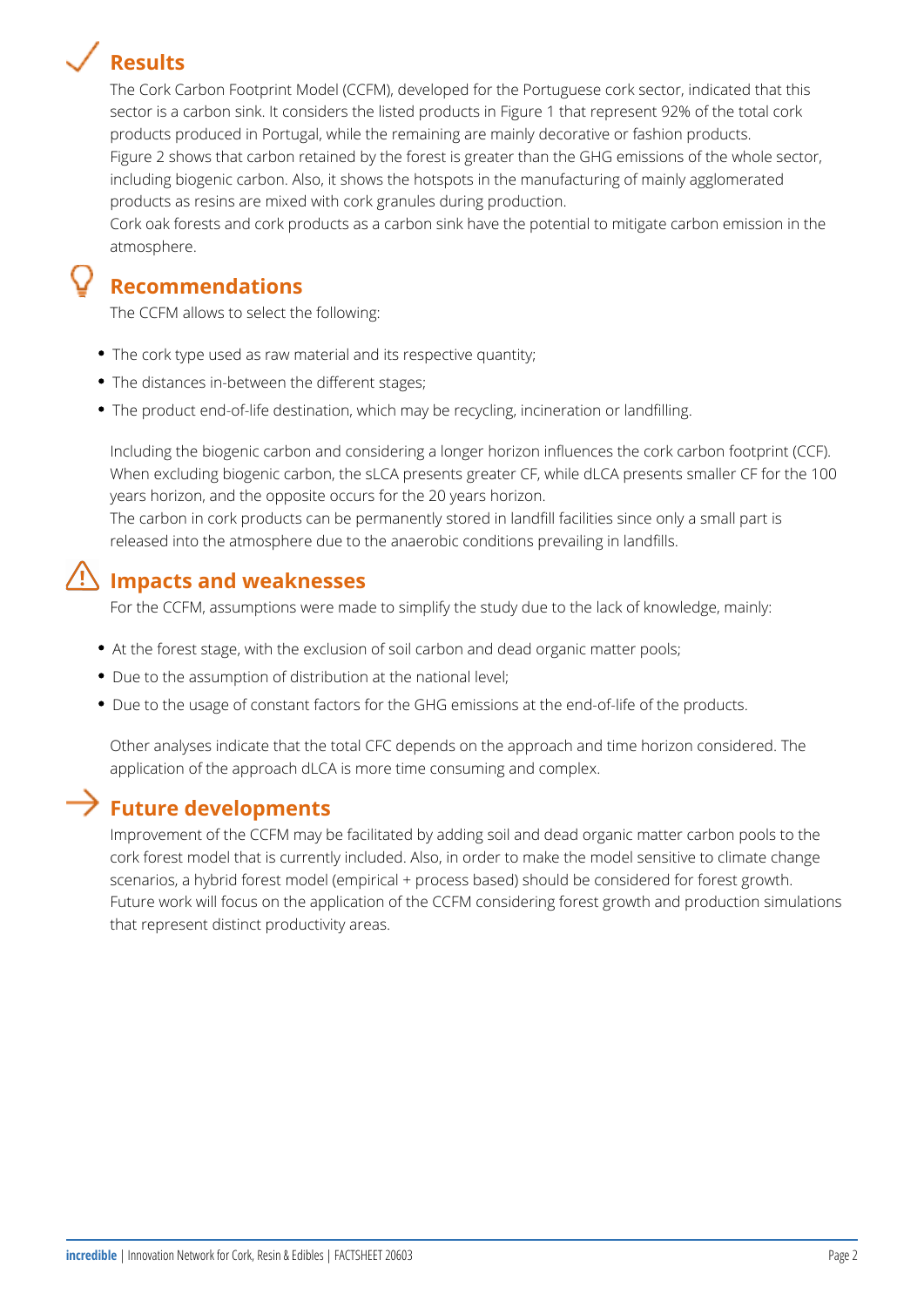# **Results**



The Cork Carbon Footprint Model (CCFM), developed for the Portuguese cork sector, indicated that this sector is a carbon sink. It considers the listed products in Figure 1 that represent 92% of the total cork products produced in Portugal, while the remaining are mainly decorative or fashion products. Figure 2 shows that carbon retained by the forest is greater than the GHG emissions of the whole sector, including biogenic carbon. Also, it shows the hotspots in the manufacturing of mainly agglomerated products as resins are mixed with cork granules during production.

Cork oak forests and cork products as a carbon sink have the potential to mitigate carbon emission in the atmosphere.

### **Recommendations**

The CCFM allows to select the following:

- The cork type used as raw material and its respective quantity;
- The distances in-between the different stages;
- The product end-of-life destination, which may be recycling, incineration or landfilling.

Including the biogenic carbon and considering a longer horizon influences the cork carbon footprint (CCF). When excluding biogenic carbon, the sLCA presents greater CF, while dLCA presents smaller CF for the 100 years horizon, and the opposite occurs for the 20 years horizon. The carbon in cork products can be permanently stored in landfill facilities since only a small part is

released into the atmosphere due to the anaerobic conditions prevailing in landfills.

#### **Impacts and weaknesses**

For the CCFM, assumptions were made to simplify the study due to the lack of knowledge, mainly:

- At the forest stage, with the exclusion of soil carbon and dead organic matter pools;
- Due to the assumption of distribution at the national level;
- Due to the usage of constant factors for the GHG emissions at the end-of-life of the products.

Other analyses indicate that the total CFC depends on the approach and time horizon considered. The application of the approach dLCA is more time consuming and complex.

#### **Future developments**

Improvement of the CCFM may be facilitated by adding soil and dead organic matter carbon pools to the cork forest model that is currently included. Also, in order to make the model sensitive to climate change scenarios, a hybrid forest model (empirical + process based) should be considered for forest growth. Future work will focus on the application of the CCFM considering forest growth and production simulations that represent distinct productivity areas.